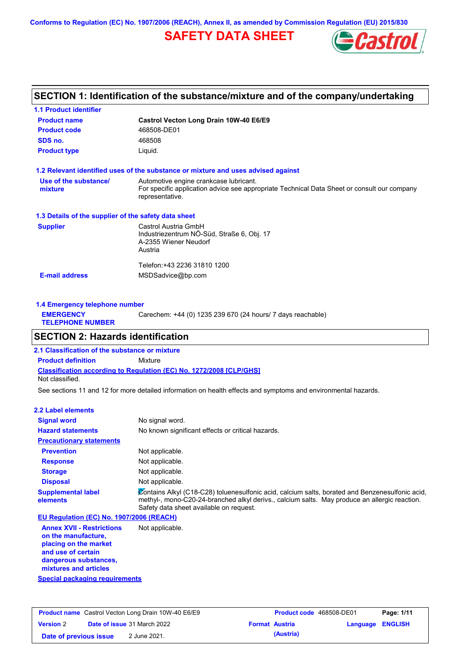**Conforms to Regulation (EC) No. 1907/2006 (REACH), Annex II, as amended by Commission Regulation (EU) 2015/830**

# **SAFETY DATA SHEET**



# **SECTION 1: Identification of the substance/mixture and of the company/undertaking**

| <b>1.1 Product identifier</b>                        |                                                                                                                                                          |
|------------------------------------------------------|----------------------------------------------------------------------------------------------------------------------------------------------------------|
| <b>Product name</b>                                  | Castrol Vecton Long Drain 10W-40 E6/E9                                                                                                                   |
| <b>Product code</b>                                  | 468508-DE01                                                                                                                                              |
| SDS no.                                              | 468508                                                                                                                                                   |
| <b>Product type</b>                                  | Liquid.                                                                                                                                                  |
|                                                      | 1.2 Relevant identified uses of the substance or mixture and uses advised against                                                                        |
| Use of the substance/<br>mixture                     | Automotive engine crankcase lubricant.<br>For specific application advice see appropriate Technical Data Sheet or consult our company<br>representative. |
| 1.3 Details of the supplier of the safety data sheet |                                                                                                                                                          |
| <b>Supplier</b>                                      | Castrol Austria GmbH<br>Industriezentrum NÖ-Süd, Straße 6, Obj. 17<br>A-2355 Wiener Neudorf<br>Austria                                                   |
| <b>E-mail address</b>                                | Telefon: +43 2236 31810 1200<br>MSDSadvice@bp.com                                                                                                        |

| 1.4 Emergency telephone number              |                                                             |
|---------------------------------------------|-------------------------------------------------------------|
| <b>EMERGENCY</b><br><b>TELEPHONE NUMBER</b> | Carechem: +44 (0) 1235 239 670 (24 hours/ 7 days reachable) |
|                                             |                                                             |

# **SECTION 2: Hazards identification**

**Classification according to Regulation (EC) No. 1272/2008 [CLP/GHS] 2.1 Classification of the substance or mixture Product definition** Mixture Not classified.

See sections 11 and 12 for more detailed information on health effects and symptoms and environmental hazards.

### **2.2 Label elements**

| <b>Signal word</b>                       | No signal word.                                                                                                                                                                                                                             |
|------------------------------------------|---------------------------------------------------------------------------------------------------------------------------------------------------------------------------------------------------------------------------------------------|
| <b>Hazard statements</b>                 | No known significant effects or critical hazards.                                                                                                                                                                                           |
| <b>Precautionary statements</b>          |                                                                                                                                                                                                                                             |
| <b>Prevention</b>                        | Not applicable.                                                                                                                                                                                                                             |
| <b>Response</b>                          | Not applicable.                                                                                                                                                                                                                             |
| <b>Storage</b>                           | Not applicable.                                                                                                                                                                                                                             |
| <b>Disposal</b>                          | Not applicable.                                                                                                                                                                                                                             |
| <b>Supplemental label</b><br>elements    | Contains Alkyl (C18-C28) toluenesulfonic acid, calcium salts, borated and Benzenesulfonic acid,<br>methyl-, mono-C20-24-branched alkyl derivs., calcium salts. May produce an allergic reaction.<br>Safety data sheet available on request. |
| EU Regulation (EC) No. 1907/2006 (REACH) |                                                                                                                                                                                                                                             |
| <b>Annex XVII - Restrictions</b>         | Not applicable.                                                                                                                                                                                                                             |

**Annex XVII - Restrictions on the manufacture, placing on the market and use of certain dangerous substances, mixtures and articles**

**Special packaging requirements**

|                        | <b>Product name</b> Castrol Vecton Long Drain 10W-40 E6/E9 | <b>Product code</b> 468508-DE01 |                         | Page: 1/11 |
|------------------------|------------------------------------------------------------|---------------------------------|-------------------------|------------|
| <b>Version 2</b>       | <b>Date of issue 31 March 2022</b>                         | <b>Format Austria</b>           | <b>Language ENGLISH</b> |            |
| Date of previous issue | 2 June 2021.                                               | (Austria)                       |                         |            |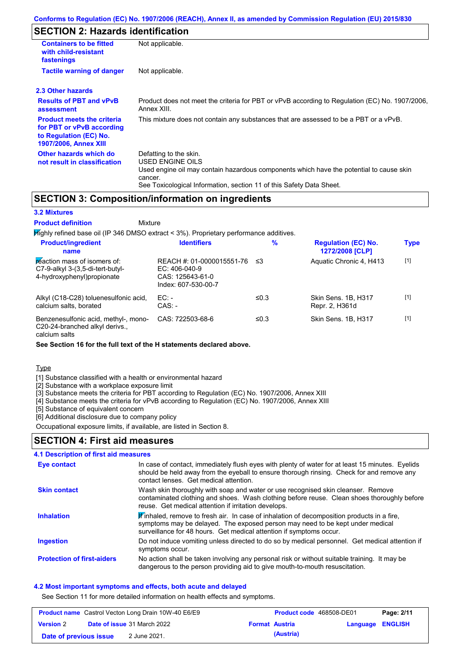# **SECTION 2: Hazards identification**

| <b>Containers to be fitted</b><br>with child-resistant<br>fastenings                                              | Not applicable.                                                                                                                                                                                                          |  |  |  |
|-------------------------------------------------------------------------------------------------------------------|--------------------------------------------------------------------------------------------------------------------------------------------------------------------------------------------------------------------------|--|--|--|
| <b>Tactile warning of danger</b>                                                                                  | Not applicable.                                                                                                                                                                                                          |  |  |  |
| 2.3 Other hazards                                                                                                 |                                                                                                                                                                                                                          |  |  |  |
| <b>Results of PBT and vPvB</b><br>assessment                                                                      | Product does not meet the criteria for PBT or vPvB according to Regulation (EC) No. 1907/2006,<br>Annex XIII.                                                                                                            |  |  |  |
| <b>Product meets the criteria</b><br>for PBT or vPvB according<br>to Regulation (EC) No.<br>1907/2006, Annex XIII | This mixture does not contain any substances that are assessed to be a PBT or a vPvB.                                                                                                                                    |  |  |  |
| Other hazards which do<br>not result in classification                                                            | Defatting to the skin.<br>USED ENGINE OILS<br>Used engine oil may contain hazardous components which have the potential to cause skin<br>cancer.<br>See Toxicological Information, section 11 of this Safety Data Sheet. |  |  |  |

### **SECTION 3: Composition/information on ingredients**

**Mixture** 

### **3.2 Mixtures**

**Product definition**

**Highly refined base oil (IP 346 DMSO extract < 3%). Proprietary performance additives. Product/ingredient % Regulation (EC) No.**

| <b>Product/ingredient</b><br>name                                                               | <b>Identifiers</b>                                                                      | $\%$       | <b>Regulation (EC) No.</b><br>1272/2008 [CLP] | <b>Type</b> |
|-------------------------------------------------------------------------------------------------|-----------------------------------------------------------------------------------------|------------|-----------------------------------------------|-------------|
| reaction mass of isomers of:<br>C7-9-alkyl 3-(3,5-di-tert-butyl-<br>4-hydroxyphenyl) propionate | REACH #: 01-0000015551-76<br>$EC: 406-040-9$<br>CAS: 125643-61-0<br>Index: 607-530-00-7 | ≤3         | Aquatic Chronic 4, H413                       | $[1]$       |
| Alkyl (C18-C28) toluenesulfonic acid,<br>calcium salts, borated                                 | $EC:$ -<br>$CAS: -$                                                                     | ≤0.3       | Skin Sens, 1B, H317<br>Repr. 2, H361d         | $[1]$       |
| Benzenesulfonic acid, methyl-, mono-<br>C20-24-branched alkyl derivs.,                          | CAS: 722503-68-6                                                                        | $\leq 0.3$ | Skin Sens, 1B, H317                           | $[1]$       |

calcium salts

**See Section 16 for the full text of the H statements declared above.**

Type

[1] Substance classified with a health or environmental hazard

[2] Substance with a workplace exposure limit

[3] Substance meets the criteria for PBT according to Regulation (EC) No. 1907/2006, Annex XIII

[4] Substance meets the criteria for vPvB according to Regulation (EC) No. 1907/2006, Annex XIII

[5] Substance of equivalent concern

[6] Additional disclosure due to company policy

Occupational exposure limits, if available, are listed in Section 8.

### **SECTION 4: First aid measures**

| <b>4.1 Description of first aid measures</b> |                                                                                                                                                                                                                                                               |
|----------------------------------------------|---------------------------------------------------------------------------------------------------------------------------------------------------------------------------------------------------------------------------------------------------------------|
| <b>Eye contact</b>                           | In case of contact, immediately flush eyes with plenty of water for at least 15 minutes. Eyelids<br>should be held away from the eyeball to ensure thorough rinsing. Check for and remove any<br>contact lenses. Get medical attention.                       |
| <b>Skin contact</b>                          | Wash skin thoroughly with soap and water or use recognised skin cleanser. Remove<br>contaminated clothing and shoes. Wash clothing before reuse. Clean shoes thoroughly before<br>reuse. Get medical attention if irritation develops.                        |
| <b>Inhalation</b>                            | $\mathbf{F}$ inhaled, remove to fresh air. In case of inhalation of decomposition products in a fire,<br>symptoms may be delayed. The exposed person may need to be kept under medical<br>surveillance for 48 hours. Get medical attention if symptoms occur. |
| <b>Ingestion</b>                             | Do not induce vomiting unless directed to do so by medical personnel. Get medical attention if<br>symptoms occur.                                                                                                                                             |
| <b>Protection of first-aiders</b>            | No action shall be taken involving any personal risk or without suitable training. It may be<br>dangerous to the person providing aid to give mouth-to-mouth resuscitation.                                                                                   |

### **4.2 Most important symptoms and effects, both acute and delayed**

See Section 11 for more detailed information on health effects and symptoms.

|                        | <b>Product name</b> Castrol Vecton Long Drain 10W-40 E6/E9 | <b>Product code</b> 468508-DE01 |                  | Page: 2/11 |
|------------------------|------------------------------------------------------------|---------------------------------|------------------|------------|
| <b>Version 2</b>       | <b>Date of issue 31 March 2022</b>                         | <b>Format Austria</b>           | Language ENGLISH |            |
| Date of previous issue | 2 June 2021.                                               | (Austria)                       |                  |            |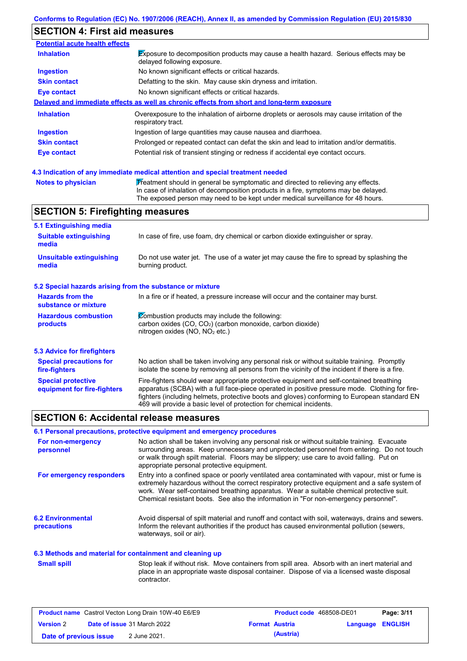# **SECTION 4: First aid measures**

| <b>Inhalation</b>   | Exposure to decomposition products may cause a health hazard. Serious effects may be<br>delayed following exposure. |
|---------------------|---------------------------------------------------------------------------------------------------------------------|
| <b>Ingestion</b>    | No known significant effects or critical hazards.                                                                   |
| <b>Skin contact</b> | Defatting to the skin. May cause skin dryness and irritation.                                                       |
| Eye contact         | No known significant effects or critical hazards.                                                                   |
|                     | Delayed and immediate effects as well as chronic effects from short and long-term exposure                          |
| <b>Inhalation</b>   | Overexposure to the inhalation of airborne droplets or aerosols may cause irritation of the<br>respiratory tract.   |
| <b>Ingestion</b>    | Ingestion of large quantities may cause nausea and diarrhoea.                                                       |
|                     |                                                                                                                     |
| <b>Skin contact</b> | Prolonged or repeated contact can defat the skin and lead to irritation and/or dermatitis.                          |

| <b>Notes to physician</b> | $\overline{Y}$ reatment should in general be symptomatic and directed to relieving any effects. |
|---------------------------|-------------------------------------------------------------------------------------------------|
|                           | In case of inhalation of decomposition products in a fire, symptoms may be delaye               |

tion products in a fire, symptoms may be delayed. The exposed person may need to be kept under medical surveillance for 48 hours.

# **SECTION 5: Firefighting measures**

| 5.1 Extinguishing media                                                                                                                                                                                                       |                                                                                                                                                                                                                                                                                                                                                                   |
|-------------------------------------------------------------------------------------------------------------------------------------------------------------------------------------------------------------------------------|-------------------------------------------------------------------------------------------------------------------------------------------------------------------------------------------------------------------------------------------------------------------------------------------------------------------------------------------------------------------|
| <b>Suitable extinguishing</b><br>media                                                                                                                                                                                        | In case of fire, use foam, dry chemical or carbon dioxide extinguisher or spray.                                                                                                                                                                                                                                                                                  |
| <b>Unsuitable extinguishing</b><br>media                                                                                                                                                                                      | Do not use water jet. The use of a water jet may cause the fire to spread by splashing the<br>burning product.                                                                                                                                                                                                                                                    |
| 5.2 Special hazards arising from the substance or mixture                                                                                                                                                                     |                                                                                                                                                                                                                                                                                                                                                                   |
| <b>Hazards from the</b><br>substance or mixture                                                                                                                                                                               | In a fire or if heated, a pressure increase will occur and the container may burst.                                                                                                                                                                                                                                                                               |
| $\emptyset$ combustion products may include the following:<br><b>Hazardous combustion</b><br>carbon oxides (CO, CO <sub>2</sub> ) (carbon monoxide, carbon dioxide)<br>products<br>nitrogen oxides (NO, NO <sub>2</sub> etc.) |                                                                                                                                                                                                                                                                                                                                                                   |
| 5.3 Advice for firefighters                                                                                                                                                                                                   |                                                                                                                                                                                                                                                                                                                                                                   |
| <b>Special precautions for</b><br>fire-fighters                                                                                                                                                                               | No action shall be taken involving any personal risk or without suitable training. Promptly<br>isolate the scene by removing all persons from the vicinity of the incident if there is a fire.                                                                                                                                                                    |
| <b>Special protective</b><br>equipment for fire-fighters                                                                                                                                                                      | Fire-fighters should wear appropriate protective equipment and self-contained breathing<br>apparatus (SCBA) with a full face-piece operated in positive pressure mode. Clothing for fire-<br>fighters (including helmets, protective boots and gloves) conforming to European standard EN<br>469 will provide a basic level of protection for chemical incidents. |

# **SECTION 6: Accidental release measures**

### **6.1 Personal precautions, protective equipment and emergency procedures**

| For non-emergency<br>personnel                           | No action shall be taken involving any personal risk or without suitable training. Evacuate<br>surrounding areas. Keep unnecessary and unprotected personnel from entering. Do not touch<br>or walk through spilt material. Floors may be slippery; use care to avoid falling. Put on<br>appropriate personal protective equipment.                                                  |
|----------------------------------------------------------|--------------------------------------------------------------------------------------------------------------------------------------------------------------------------------------------------------------------------------------------------------------------------------------------------------------------------------------------------------------------------------------|
| For emergency responders                                 | Entry into a confined space or poorly ventilated area contaminated with vapour, mist or fume is<br>extremely hazardous without the correct respiratory protective equipment and a safe system of<br>work. Wear self-contained breathing apparatus. Wear a suitable chemical protective suit.<br>Chemical resistant boots. See also the information in "For non-emergency personnel". |
| <b>6.2 Environmental</b><br><b>precautions</b>           | Avoid dispersal of spilt material and runoff and contact with soil, waterways, drains and sewers.<br>Inform the relevant authorities if the product has caused environmental pollution (sewers,<br>waterways, soil or air).                                                                                                                                                          |
| 6.3 Methods and material for containment and cleaning up |                                                                                                                                                                                                                                                                                                                                                                                      |

#### **iment and cleaning up**

Stop leak if without risk. Move containers from spill area. Absorb with an inert material and place in an appropriate waste disposal container. Dispose of via a licensed waste disposal contractor. **Small spill**

| <b>Product name</b> Castrol Vecton Long Drain 10W-40 E6/E9 |  |                                    | <b>Product code</b> 468508-DE01 | Page: 3/11 |                  |  |
|------------------------------------------------------------|--|------------------------------------|---------------------------------|------------|------------------|--|
| <b>Version 2</b>                                           |  | <b>Date of issue 31 March 2022</b> | <b>Format Austria</b>           |            | Language ENGLISH |  |
| Date of previous issue                                     |  | 2 June 2021.                       |                                 | (Austria)  |                  |  |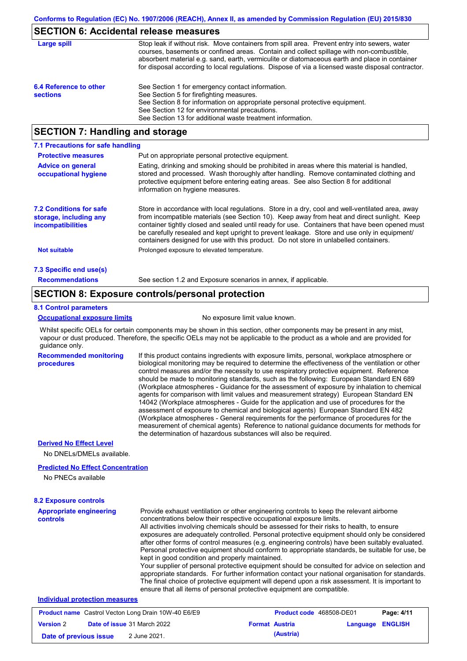### **SECTION 6: Accidental release measures**

| Large spill                               | Stop leak if without risk. Move containers from spill area. Prevent entry into sewers, water<br>courses, basements or confined areas. Contain and collect spillage with non-combustible,<br>absorbent material e.g. sand, earth, vermiculite or diatomaceous earth and place in container<br>for disposal according to local regulations. Dispose of via a licensed waste disposal contractor. |
|-------------------------------------------|------------------------------------------------------------------------------------------------------------------------------------------------------------------------------------------------------------------------------------------------------------------------------------------------------------------------------------------------------------------------------------------------|
| 6.4 Reference to other<br><b>sections</b> | See Section 1 for emergency contact information.<br>See Section 5 for firefighting measures.<br>See Section 8 for information on appropriate personal protective equipment.<br>See Section 12 for environmental precautions.<br>See Section 13 for additional waste treatment information.                                                                                                     |

# **SECTION 7: Handling and storage**

| 7.1 Precautions for safe handling                                                    |                                                                                                                                                                                                                                                                                                                                                                                                                                                                                          |
|--------------------------------------------------------------------------------------|------------------------------------------------------------------------------------------------------------------------------------------------------------------------------------------------------------------------------------------------------------------------------------------------------------------------------------------------------------------------------------------------------------------------------------------------------------------------------------------|
| <b>Protective measures</b>                                                           | Put on appropriate personal protective equipment.                                                                                                                                                                                                                                                                                                                                                                                                                                        |
| <b>Advice on general</b><br>occupational hygiene                                     | Eating, drinking and smoking should be prohibited in areas where this material is handled,<br>stored and processed. Wash thoroughly after handling. Remove contaminated clothing and<br>protective equipment before entering eating areas. See also Section 8 for additional<br>information on hygiene measures.                                                                                                                                                                         |
| <b>7.2 Conditions for safe</b><br>storage, including any<br><b>incompatibilities</b> | Store in accordance with local requlations. Store in a dry, cool and well-ventilated area, away<br>from incompatible materials (see Section 10). Keep away from heat and direct sunlight. Keep<br>container tightly closed and sealed until ready for use. Containers that have been opened must<br>be carefully resealed and kept upright to prevent leakage. Store and use only in equipment/<br>containers designed for use with this product. Do not store in unlabelled containers. |
| <b>Not suitable</b>                                                                  | Prolonged exposure to elevated temperature.                                                                                                                                                                                                                                                                                                                                                                                                                                              |
| 7.3 Specific end use(s)                                                              |                                                                                                                                                                                                                                                                                                                                                                                                                                                                                          |
| <b>Recommendations</b>                                                               | See section 1.2 and Exposure scenarios in annex, if applicable.                                                                                                                                                                                                                                                                                                                                                                                                                          |

### **SECTION 8: Exposure controls/personal protection**

#### **8.1 Control parameters**

#### **Occupational exposure limits** No exposure limit value known.

Whilst specific OELs for certain components may be shown in this section, other components may be present in any mist, vapour or dust produced. Therefore, the specific OELs may not be applicable to the product as a whole and are provided for guidance only.

**Recommended monitoring procedures** If this product contains ingredients with exposure limits, personal, workplace atmosphere or biological monitoring may be required to determine the effectiveness of the ventilation or other control measures and/or the necessity to use respiratory protective equipment. Reference should be made to monitoring standards, such as the following: European Standard EN 689 (Workplace atmospheres - Guidance for the assessment of exposure by inhalation to chemical agents for comparison with limit values and measurement strategy) European Standard EN 14042 (Workplace atmospheres - Guide for the application and use of procedures for the assessment of exposure to chemical and biological agents) European Standard EN 482 (Workplace atmospheres - General requirements for the performance of procedures for the measurement of chemical agents) Reference to national guidance documents for methods for the determination of hazardous substances will also be required.

### **Derived No Effect Level**

No DNELs/DMELs available.

### **Predicted No Effect Concentration**

No PNECs available

| <b>8.2 Exposure controls</b>                               |                                                                                                                                                                                                                                                                                                                                                                                                                                                                                                                                                                                                                                                                                                                                                                                                                                                                                                                                                                                                         |
|------------------------------------------------------------|---------------------------------------------------------------------------------------------------------------------------------------------------------------------------------------------------------------------------------------------------------------------------------------------------------------------------------------------------------------------------------------------------------------------------------------------------------------------------------------------------------------------------------------------------------------------------------------------------------------------------------------------------------------------------------------------------------------------------------------------------------------------------------------------------------------------------------------------------------------------------------------------------------------------------------------------------------------------------------------------------------|
| <b>Appropriate engineering</b><br>controls                 | Provide exhaust ventilation or other engineering controls to keep the relevant airborne<br>concentrations below their respective occupational exposure limits.<br>All activities involving chemicals should be assessed for their risks to health, to ensure<br>exposures are adequately controlled. Personal protective equipment should only be considered<br>after other forms of control measures (e.g. engineering controls) have been suitably evaluated.<br>Personal protective equipment should conform to appropriate standards, be suitable for use, be<br>kept in good condition and properly maintained.<br>Your supplier of personal protective equipment should be consulted for advice on selection and<br>appropriate standards. For further information contact your national organisation for standards.<br>The final choice of protective equipment will depend upon a risk assessment. It is important to<br>ensure that all items of personal protective equipment are compatible. |
| Individual protection measures                             |                                                                                                                                                                                                                                                                                                                                                                                                                                                                                                                                                                                                                                                                                                                                                                                                                                                                                                                                                                                                         |
| <b>Broduct name</b> Castrol Vector Long Drain 10ML40 EG/EQ | $D2Q2$ , $A/44$<br><b>Droduct code</b> AGREOR DE01                                                                                                                                                                                                                                                                                                                                                                                                                                                                                                                                                                                                                                                                                                                                                                                                                                                                                                                                                      |

| <b>Product name</b> Castrol Vecton Long Drain 10W-40 E6/E9 |  |                                    | <b>Product code</b> 468508-DE01 | Page: 4/11            |                         |  |
|------------------------------------------------------------|--|------------------------------------|---------------------------------|-----------------------|-------------------------|--|
| <b>Version 2</b>                                           |  | <b>Date of issue 31 March 2022</b> |                                 | <b>Format Austria</b> | <b>Language ENGLISH</b> |  |
| Date of previous issue                                     |  | 2 June 2021.                       |                                 | (Austria)             |                         |  |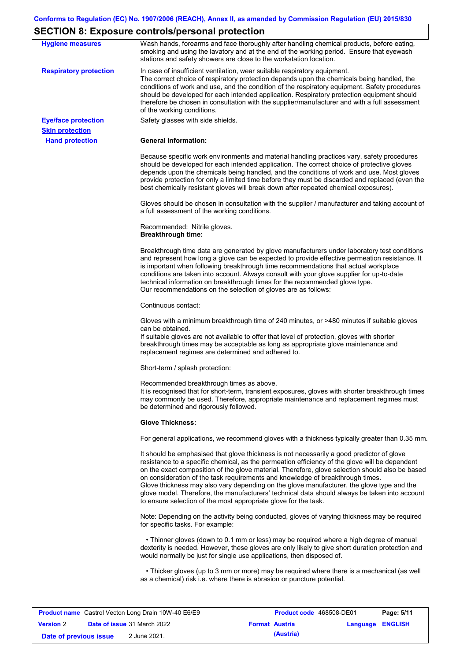# **SECTION 8: Exposure controls/personal protection**

| <b>Hygiene measures</b>                              | Wash hands, forearms and face thoroughly after handling chemical products, before eating,<br>smoking and using the lavatory and at the end of the working period. Ensure that eyewash<br>stations and safety showers are close to the workstation location.                                                                                                                                                                                                                                                                                                                                                                                       |
|------------------------------------------------------|---------------------------------------------------------------------------------------------------------------------------------------------------------------------------------------------------------------------------------------------------------------------------------------------------------------------------------------------------------------------------------------------------------------------------------------------------------------------------------------------------------------------------------------------------------------------------------------------------------------------------------------------------|
| <b>Respiratory protection</b>                        | In case of insufficient ventilation, wear suitable respiratory equipment.<br>The correct choice of respiratory protection depends upon the chemicals being handled, the<br>conditions of work and use, and the condition of the respiratory equipment. Safety procedures<br>should be developed for each intended application. Respiratory protection equipment should<br>therefore be chosen in consultation with the supplier/manufacturer and with a full assessment<br>of the working conditions.                                                                                                                                             |
| <b>Eye/face protection</b><br><b>Skin protection</b> | Safety glasses with side shields.                                                                                                                                                                                                                                                                                                                                                                                                                                                                                                                                                                                                                 |
| <b>Hand protection</b>                               | <b>General Information:</b>                                                                                                                                                                                                                                                                                                                                                                                                                                                                                                                                                                                                                       |
|                                                      | Because specific work environments and material handling practices vary, safety procedures<br>should be developed for each intended application. The correct choice of protective gloves<br>depends upon the chemicals being handled, and the conditions of work and use. Most gloves<br>provide protection for only a limited time before they must be discarded and replaced (even the<br>best chemically resistant gloves will break down after repeated chemical exposures).                                                                                                                                                                  |
|                                                      | Gloves should be chosen in consultation with the supplier / manufacturer and taking account of<br>a full assessment of the working conditions.                                                                                                                                                                                                                                                                                                                                                                                                                                                                                                    |
|                                                      | Recommended: Nitrile gloves.<br><b>Breakthrough time:</b>                                                                                                                                                                                                                                                                                                                                                                                                                                                                                                                                                                                         |
|                                                      | Breakthrough time data are generated by glove manufacturers under laboratory test conditions<br>and represent how long a glove can be expected to provide effective permeation resistance. It<br>is important when following breakthrough time recommendations that actual workplace<br>conditions are taken into account. Always consult with your glove supplier for up-to-date<br>technical information on breakthrough times for the recommended glove type.<br>Our recommendations on the selection of gloves are as follows:                                                                                                                |
|                                                      | Continuous contact:                                                                                                                                                                                                                                                                                                                                                                                                                                                                                                                                                                                                                               |
|                                                      | Gloves with a minimum breakthrough time of 240 minutes, or >480 minutes if suitable gloves<br>can be obtained.<br>If suitable gloves are not available to offer that level of protection, gloves with shorter<br>breakthrough times may be acceptable as long as appropriate glove maintenance and<br>replacement regimes are determined and adhered to.                                                                                                                                                                                                                                                                                          |
|                                                      | Short-term / splash protection:                                                                                                                                                                                                                                                                                                                                                                                                                                                                                                                                                                                                                   |
|                                                      | Recommended breakthrough times as above.<br>It is recognised that for short-term, transient exposures, gloves with shorter breakthrough times<br>may commonly be used. Therefore, appropriate maintenance and replacement regimes must<br>be determined and rigorously followed.                                                                                                                                                                                                                                                                                                                                                                  |
|                                                      | <b>Glove Thickness:</b>                                                                                                                                                                                                                                                                                                                                                                                                                                                                                                                                                                                                                           |
|                                                      | For general applications, we recommend gloves with a thickness typically greater than 0.35 mm.                                                                                                                                                                                                                                                                                                                                                                                                                                                                                                                                                    |
|                                                      | It should be emphasised that glove thickness is not necessarily a good predictor of glove<br>resistance to a specific chemical, as the permeation efficiency of the glove will be dependent<br>on the exact composition of the glove material. Therefore, glove selection should also be based<br>on consideration of the task requirements and knowledge of breakthrough times.<br>Glove thickness may also vary depending on the glove manufacturer, the glove type and the<br>glove model. Therefore, the manufacturers' technical data should always be taken into account<br>to ensure selection of the most appropriate glove for the task. |
|                                                      | Note: Depending on the activity being conducted, gloves of varying thickness may be required<br>for specific tasks. For example:                                                                                                                                                                                                                                                                                                                                                                                                                                                                                                                  |
|                                                      | • Thinner gloves (down to 0.1 mm or less) may be required where a high degree of manual<br>dexterity is needed. However, these gloves are only likely to give short duration protection and<br>would normally be just for single use applications, then disposed of.                                                                                                                                                                                                                                                                                                                                                                              |
|                                                      | • Thicker gloves (up to 3 mm or more) may be required where there is a mechanical (as well<br>as a chemical) risk i.e. where there is abrasion or puncture potential.                                                                                                                                                                                                                                                                                                                                                                                                                                                                             |

| <b>Product name</b> Castrol Vecton Long Drain 10W-40 E6/E9 |  |                                    | <b>Product code</b> 468508-DE01 | Page: 5/11            |                         |  |
|------------------------------------------------------------|--|------------------------------------|---------------------------------|-----------------------|-------------------------|--|
| <b>Version 2</b>                                           |  | <b>Date of issue 31 March 2022</b> |                                 | <b>Format Austria</b> | <b>Language ENGLISH</b> |  |
| Date of previous issue                                     |  | 2 June 2021.                       |                                 | (Austria)             |                         |  |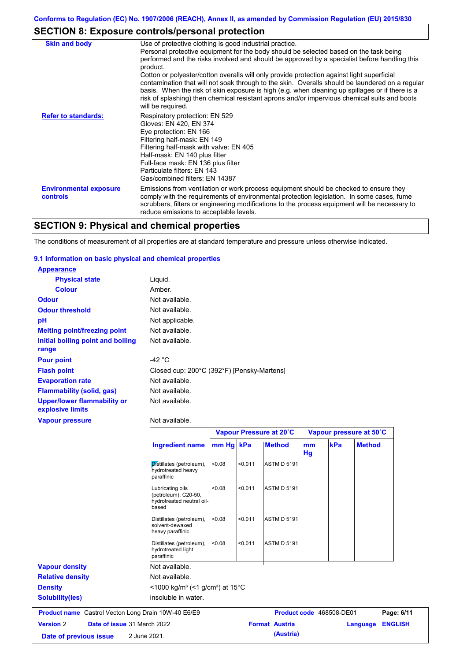# **SECTION 8: Exposure controls/personal protection**

| <b>Skin and body</b>                             | Use of protective clothing is good industrial practice.<br>Personal protective equipment for the body should be selected based on the task being<br>performed and the risks involved and should be approved by a specialist before handling this<br>product.<br>Cotton or polyester/cotton overalls will only provide protection against light superficial<br>contamination that will not soak through to the skin. Overalls should be laundered on a regular<br>basis. When the risk of skin exposure is high (e.g. when cleaning up spillages or if there is a<br>risk of splashing) then chemical resistant aprons and/or impervious chemical suits and boots<br>will be required. |
|--------------------------------------------------|---------------------------------------------------------------------------------------------------------------------------------------------------------------------------------------------------------------------------------------------------------------------------------------------------------------------------------------------------------------------------------------------------------------------------------------------------------------------------------------------------------------------------------------------------------------------------------------------------------------------------------------------------------------------------------------|
| <b>Refer to standards:</b>                       | Respiratory protection: EN 529<br>Gloves: EN 420, EN 374<br>Eye protection: EN 166<br>Filtering half-mask: EN 149<br>Filtering half-mask with valve: EN 405<br>Half-mask: EN 140 plus filter<br>Full-face mask: EN 136 plus filter<br>Particulate filters: EN 143<br>Gas/combined filters: EN 14387                                                                                                                                                                                                                                                                                                                                                                                   |
| <b>Environmental exposure</b><br><b>controls</b> | Emissions from ventilation or work process equipment should be checked to ensure they<br>comply with the requirements of environmental protection legislation. In some cases, fume<br>scrubbers, filters or engineering modifications to the process equipment will be necessary to<br>reduce emissions to acceptable levels.                                                                                                                                                                                                                                                                                                                                                         |

# **SECTION 9: Physical and chemical properties**

The conditions of measurement of all properties are at standard temperature and pressure unless otherwise indicated.

### **9.1 Information on basic physical and chemical properties**

| <b>Appearance</b>                                      |                                            |
|--------------------------------------------------------|--------------------------------------------|
| <b>Physical state</b>                                  | Liguid.                                    |
| <b>Colour</b>                                          | Amber.                                     |
| <b>Odour</b>                                           | Not available.                             |
| <b>Odour threshold</b>                                 | Not available.                             |
| рH                                                     | Not applicable.                            |
| <b>Melting point/freezing point</b>                    | Not available.                             |
| <b>Initial boiling point and boiling</b><br>range      | Not available.                             |
| <b>Pour point</b>                                      | -42 °C                                     |
| <b>Flash point</b>                                     | Closed cup: 200°C (392°F) [Pensky-Martens] |
| <b>Evaporation rate</b>                                | Not available.                             |
| <b>Flammability (solid, gas)</b>                       | Not available.                             |
| <b>Upper/lower flammability or</b><br>explosive limits | Not available.                             |
| <b>Vapour pressure</b>                                 | Not available.                             |

| <b>TUPOUL PLOSSUIG</b>                                     | i vul avaliaulu.                                                               |           |         |                         |          |                          |                |  |  |
|------------------------------------------------------------|--------------------------------------------------------------------------------|-----------|---------|-------------------------|----------|--------------------------|----------------|--|--|
|                                                            |                                                                                |           |         | Vapour Pressure at 20°C |          | Vapour pressure at 50°C  |                |  |  |
|                                                            | <b>Ingredient name</b>                                                         | mm Hg kPa |         | <b>Method</b>           | mm<br>Hg | kPa                      | <b>Method</b>  |  |  |
|                                                            | Distillates (petroleum),<br>hydrotreated heavy<br>paraffinic                   | < 0.08    | < 0.011 | <b>ASTM D 5191</b>      |          |                          |                |  |  |
|                                                            | Lubricating oils<br>(petroleum), C20-50,<br>hydrotreated neutral oil-<br>based | < 0.08    | < 0.011 | <b>ASTM D 5191</b>      |          |                          |                |  |  |
|                                                            | Distillates (petroleum),<br>solvent-dewaxed<br>heavy paraffinic                | < 0.08    | < 0.011 | <b>ASTM D 5191</b>      |          |                          |                |  |  |
|                                                            | Distillates (petroleum),<br>hydrotreated light<br>paraffinic                   | < 0.08    | < 0.011 | <b>ASTM D 5191</b>      |          |                          |                |  |  |
| <b>Vapour density</b>                                      | Not available.                                                                 |           |         |                         |          |                          |                |  |  |
| <b>Relative density</b>                                    | Not available.                                                                 |           |         |                         |          |                          |                |  |  |
| <b>Density</b>                                             | $<$ 1000 kg/m <sup>3</sup> (<1 g/cm <sup>3</sup> ) at 15 <sup>°</sup> C        |           |         |                         |          |                          |                |  |  |
| <b>Solubility(ies)</b>                                     | insoluble in water.                                                            |           |         |                         |          |                          |                |  |  |
| <b>Product name</b> Castrol Vecton Long Drain 10W-40 E6/E9 |                                                                                |           |         |                         |          | Product code 468508-DE01 | Page: 6/11     |  |  |
| <b>Version 2</b><br>Date of issue 31 March 2022            |                                                                                |           |         | <b>Format Austria</b>   |          | Language                 | <b>ENGLISH</b> |  |  |
| Date of previous issue                                     | 2 June 2021.                                                                   |           |         | (Austria)               |          |                          |                |  |  |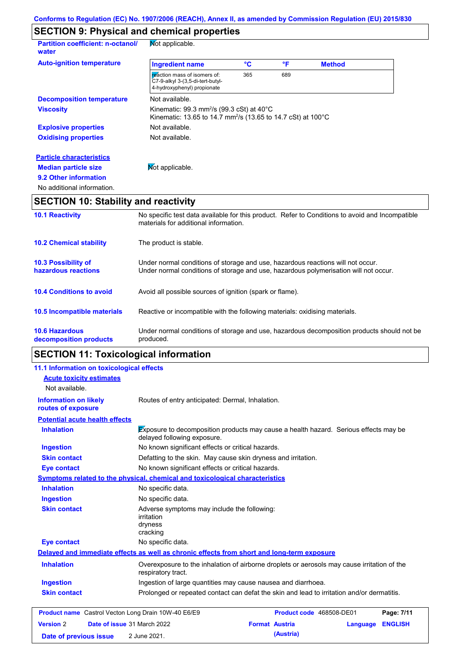# **SECTION 9: Physical and chemical properties**

| <b>Partition coefficient: n-octanol/</b><br>water | Not applicable.                                                                                                                             |     |     |               |  |
|---------------------------------------------------|---------------------------------------------------------------------------------------------------------------------------------------------|-----|-----|---------------|--|
| <b>Auto-ignition temperature</b>                  | <b>Ingredient name</b>                                                                                                                      | °C  | °F  | <b>Method</b> |  |
|                                                   | reaction mass of isomers of:<br>C7-9-alkyl 3-(3,5-di-tert-butyl-<br>4-hydroxyphenyl) propionate                                             | 365 | 689 |               |  |
| <b>Decomposition temperature</b>                  | Not available.                                                                                                                              |     |     |               |  |
| <b>Viscosity</b>                                  | Kinematic: 99.3 mm <sup>2</sup> /s (99.3 cSt) at $40^{\circ}$ C<br>Kinematic: 13.65 to 14.7 mm <sup>2</sup> /s (13.65 to 14.7 cSt) at 100°C |     |     |               |  |
| <b>Explosive properties</b>                       | Not available.                                                                                                                              |     |     |               |  |
| <b>Oxidising properties</b>                       | Not available.                                                                                                                              |     |     |               |  |
| <b>Particle characteristics</b>                   |                                                                                                                                             |     |     |               |  |
| <b>Median particle size</b>                       | Mot applicable.                                                                                                                             |     |     |               |  |
| 9.2 Other information                             |                                                                                                                                             |     |     |               |  |
| No additional information.                        |                                                                                                                                             |     |     |               |  |

# **SECTION 10: Stability and reactivity**

| <b>10.1 Reactivity</b>                            | No specific test data available for this product. Refer to Conditions to avoid and Incompatible<br>materials for additional information.                                |
|---------------------------------------------------|-------------------------------------------------------------------------------------------------------------------------------------------------------------------------|
| <b>10.2 Chemical stability</b>                    | The product is stable.                                                                                                                                                  |
| <b>10.3 Possibility of</b><br>hazardous reactions | Under normal conditions of storage and use, hazardous reactions will not occur.<br>Under normal conditions of storage and use, hazardous polymerisation will not occur. |
| <b>10.4 Conditions to avoid</b>                   | Avoid all possible sources of ignition (spark or flame).                                                                                                                |
| 10.5 Incompatible materials                       | Reactive or incompatible with the following materials: oxidising materials.                                                                                             |
| <b>10.6 Hazardous</b><br>decomposition products   | Under normal conditions of storage and use, hazardous decomposition products should not be<br>produced.                                                                 |

# **SECTION 11: Toxicological information**

| 11.1 Information on toxicological effects                  |                                                                                                                     |
|------------------------------------------------------------|---------------------------------------------------------------------------------------------------------------------|
| <b>Acute toxicity estimates</b>                            |                                                                                                                     |
| Not available.                                             |                                                                                                                     |
| <b>Information on likely</b><br>routes of exposure         | Routes of entry anticipated: Dermal, Inhalation.                                                                    |
| <b>Potential acute health effects</b>                      |                                                                                                                     |
| <b>Inhalation</b>                                          | Exposure to decomposition products may cause a health hazard. Serious effects may be<br>delayed following exposure. |
| <b>Ingestion</b>                                           | No known significant effects or critical hazards.                                                                   |
| <b>Skin contact</b>                                        | Defatting to the skin. May cause skin dryness and irritation.                                                       |
| <b>Eye contact</b>                                         | No known significant effects or critical hazards.                                                                   |
|                                                            | Symptoms related to the physical, chemical and toxicological characteristics                                        |
| <b>Inhalation</b>                                          | No specific data.                                                                                                   |
| <b>Ingestion</b>                                           | No specific data.                                                                                                   |
| <b>Skin contact</b>                                        | Adverse symptoms may include the following:<br><i>irritation</i><br>dryness<br>cracking                             |
| <b>Eye contact</b>                                         | No specific data.                                                                                                   |
|                                                            | Delayed and immediate effects as well as chronic effects from short and long-term exposure                          |
| <b>Inhalation</b>                                          | Overexposure to the inhalation of airborne droplets or aerosols may cause irritation of the<br>respiratory tract.   |
| <b>Ingestion</b>                                           | Ingestion of large quantities may cause nausea and diarrhoea.                                                       |
| <b>Skin contact</b>                                        | Prolonged or repeated contact can defat the skin and lead to irritation and/or dermatitis.                          |
| <b>Product name</b> Castrol Vecton Long Drain 10W-40 E6/E9 | Product code 468508-DE01<br>Page: 7/11                                                                              |
| <b>Version 2</b>                                           | Date of issue 31 March 2022<br><b>Format Austria</b><br><b>ENGLISH</b><br>Language                                  |
| Date of previous issue                                     | (Austria)<br>2 June 2021.                                                                                           |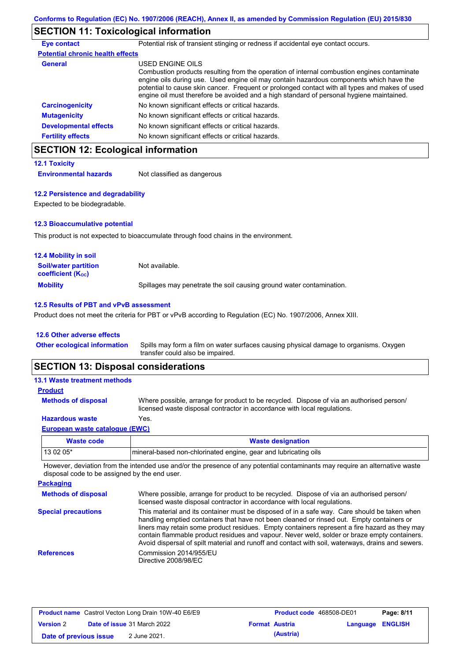# **SECTION 11: Toxicological information**

| <b>Eye contact</b>                      | Potential risk of transient stinging or redness if accidental eye contact occurs.                                                                                                                                                                                                                                                                                                                        |
|-----------------------------------------|----------------------------------------------------------------------------------------------------------------------------------------------------------------------------------------------------------------------------------------------------------------------------------------------------------------------------------------------------------------------------------------------------------|
| <b>Potential chronic health effects</b> |                                                                                                                                                                                                                                                                                                                                                                                                          |
| <b>General</b>                          | USED ENGINE OILS<br>Combustion products resulting from the operation of internal combustion engines contaminate<br>engine oils during use. Used engine oil may contain hazardous components which have the<br>potential to cause skin cancer. Frequent or prolonged contact with all types and makes of used<br>engine oil must therefore be avoided and a high standard of personal hygiene maintained. |
| <b>Carcinogenicity</b>                  | No known significant effects or critical hazards.                                                                                                                                                                                                                                                                                                                                                        |
| <b>Mutagenicity</b>                     | No known significant effects or critical hazards.                                                                                                                                                                                                                                                                                                                                                        |
| <b>Developmental effects</b>            | No known significant effects or critical hazards.                                                                                                                                                                                                                                                                                                                                                        |
| <b>Fertility effects</b>                | No known significant effects or critical hazards.                                                                                                                                                                                                                                                                                                                                                        |

# **SECTION 12: Ecological information**

**12.1 Toxicity Environmental hazards** Not classified as dangerous

### **12.2 Persistence and degradability**

Expected to be biodegradable.

### **12.3 Bioaccumulative potential**

This product is not expected to bioaccumulate through food chains in the environment.

| <b>12.4 Mobility in soil</b>                                  |                                                                      |
|---------------------------------------------------------------|----------------------------------------------------------------------|
| <b>Soil/water partition</b><br>coefficient (K <sub>oc</sub> ) | Not available.                                                       |
| <b>Mobility</b>                                               | Spillages may penetrate the soil causing ground water contamination. |

### **12.5 Results of PBT and vPvB assessment**

Product does not meet the criteria for PBT or vPvB according to Regulation (EC) No. 1907/2006, Annex XIII.

#### **12.6 Other adverse effects**

| Other ecological information Spills may form a film on water surfaces causing physical damage to organisms. Oxygen |
|--------------------------------------------------------------------------------------------------------------------|
| transfer could also be impaired.                                                                                   |

# **SECTION 13: Disposal considerations**

| <b>Product</b><br><b>Methods of disposal</b><br>Where possible, arrange for product to be recycled. Dispose of via an authorised person/<br>licensed waste disposal contractor in accordance with local regulations.<br>Yes.<br><b>Hazardous waste</b> | <b>13.1 Waste treatment methods</b> |  |
|--------------------------------------------------------------------------------------------------------------------------------------------------------------------------------------------------------------------------------------------------------|-------------------------------------|--|
|                                                                                                                                                                                                                                                        |                                     |  |
|                                                                                                                                                                                                                                                        |                                     |  |
|                                                                                                                                                                                                                                                        |                                     |  |
| European waste catalogue (EWC)                                                                                                                                                                                                                         |                                     |  |

| <b>Waste code</b> | <b>Waste designation</b>                                        |
|-------------------|-----------------------------------------------------------------|
| 13 02 05*         | mineral-based non-chlorinated engine, gear and lubricating oils |

However, deviation from the intended use and/or the presence of any potential contaminants may require an alternative waste disposal code to be assigned by the end user.

| <b>Packaging</b>           |                                                                                                                                                                                                                                                                                                                                                                                                                                                                                                 |
|----------------------------|-------------------------------------------------------------------------------------------------------------------------------------------------------------------------------------------------------------------------------------------------------------------------------------------------------------------------------------------------------------------------------------------------------------------------------------------------------------------------------------------------|
| <b>Methods of disposal</b> | Where possible, arrange for product to be recycled. Dispose of via an authorised person/<br>licensed waste disposal contractor in accordance with local regulations.                                                                                                                                                                                                                                                                                                                            |
| <b>Special precautions</b> | This material and its container must be disposed of in a safe way. Care should be taken when<br>handling emptied containers that have not been cleaned or rinsed out. Empty containers or<br>liners may retain some product residues. Empty containers represent a fire hazard as they may<br>contain flammable product residues and vapour. Never weld, solder or braze empty containers.<br>Avoid dispersal of spilt material and runoff and contact with soil, waterways, drains and sewers. |
| <b>References</b>          | Commission 2014/955/EU<br>Directive 2008/98/EC                                                                                                                                                                                                                                                                                                                                                                                                                                                  |

|                        | <b>Product name</b> Castrol Vecton Long Drain 10W-40 E6/E9 | <b>Product code</b> 468508-DE01 |                         | Page: 8/11 |
|------------------------|------------------------------------------------------------|---------------------------------|-------------------------|------------|
| <b>Version 2</b>       | <b>Date of issue 31 March 2022</b>                         | <b>Format Austria</b>           | <b>Language ENGLISH</b> |            |
| Date of previous issue | 2 June 2021.                                               | (Austria)                       |                         |            |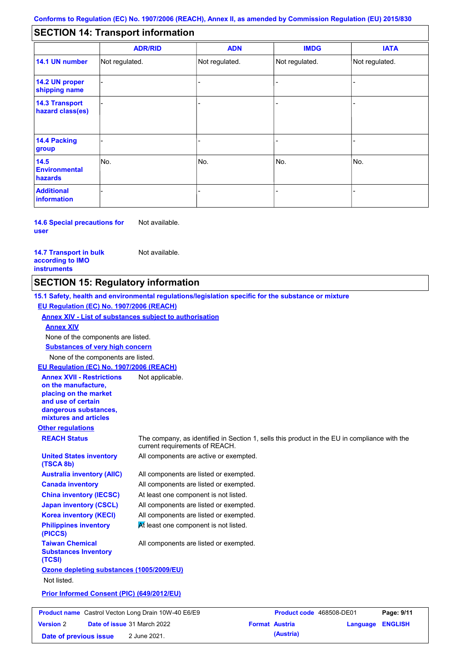#### - - - - - - - - - Not regulated. Not regulated. Not regulated. - - - **SECTION 14: Transport information ADR/RID IMDG IATA 14.1 UN number 14.2 UN proper shipping name 14.3 Transport hazard class(es) 14.4 Packing group ADN Additional information 14.5 Environmental hazards** No. 1980 | No. 1980 | No. 1980 | No. 1980 | No. 1980 | No. 1980 | No. 1980 | No. 1980 | No. 1980 | No. 1980 | Not regulated. - -<br>No. - -

**14.6 Special precautions for user** Not available.

**14.7 Transport in bulk according to IMO instruments**

Not available.

# **SECTION 15: Regulatory information**

**Other regulations REACH Status** The company, as identified in Section 1, sells this product in the EU in compliance with the current requirements of REACH. **15.1 Safety, health and environmental regulations/legislation specific for the substance or mixture EU Regulation (EC) No. 1907/2006 (REACH) Annex XIV - List of substances subject to authorisation Substances of very high concern** None of the components are listed. All components are listed or exempted. All components are listed or exempted. At least one component is not listed. All components are listed or exempted. All components are active or exempted. All components are listed or exempted.  $M$  least one component is not listed. **United States inventory (TSCA 8b) Australia inventory (AIIC) Canada inventory China inventory (IECSC) Japan inventory (CSCL) Korea inventory (KECI) Philippines inventory (PICCS) Taiwan Chemical Substances Inventory (TCSI)** All components are listed or exempted. **Ozone depleting substances (1005/2009/EU)** Not listed. **Prior Informed Consent (PIC) (649/2012/EU)** None of the components are listed. **Annex XIV EU Regulation (EC) No. 1907/2006 (REACH) Annex XVII - Restrictions on the manufacture, placing on the market and use of certain dangerous substances, mixtures and articles** Not applicable.

|                        | <b>Product name</b> Castrol Vecton Long Drain 10W-40 E6/E9 |                       | Product code 468508-DE01 |                         | Page: 9/11 |
|------------------------|------------------------------------------------------------|-----------------------|--------------------------|-------------------------|------------|
| <b>Version 2</b>       | <b>Date of issue 31 March 2022</b>                         | <b>Format Austria</b> |                          | <b>Language ENGLISH</b> |            |
| Date of previous issue | 2 June 2021.                                               |                       | (Austria)                |                         |            |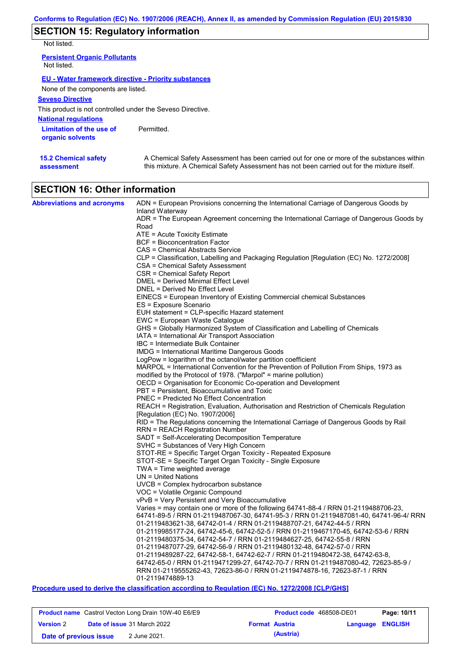# **SECTION 15: Regulatory information**

Not listed.

**15.2 Chemical safety** 

**assessment**

| <b>Persistent Organic Pollutants</b><br>Not listed.         |            |
|-------------------------------------------------------------|------------|
| <b>EU - Water framework directive - Priority substances</b> |            |
| None of the components are listed.                          |            |
| <b>Seveso Directive</b>                                     |            |
| This product is not controlled under the Seveso Directive.  |            |
| <b>National regulations</b>                                 |            |
| Limitation of the use of<br>organic solvents                | Permitted. |

A Chemical Safety Assessment has been carried out for one or more of the substances within this mixture. A Chemical Safety Assessment has not been carried out for the mixture itself.

| <b>SECTION 16: Other information</b> |  |
|--------------------------------------|--|

| <b>Abbreviations and acronyms</b> | ADN = European Provisions concerning the International Carriage of Dangerous Goods by                                                                      |
|-----------------------------------|------------------------------------------------------------------------------------------------------------------------------------------------------------|
|                                   | Inland Waterway                                                                                                                                            |
|                                   | ADR = The European Agreement concerning the International Carriage of Dangerous Goods by<br>Road                                                           |
|                                   | ATE = Acute Toxicity Estimate                                                                                                                              |
|                                   | BCF = Bioconcentration Factor                                                                                                                              |
|                                   | CAS = Chemical Abstracts Service                                                                                                                           |
|                                   | CLP = Classification, Labelling and Packaging Regulation [Regulation (EC) No. 1272/2008]                                                                   |
|                                   | CSA = Chemical Safety Assessment                                                                                                                           |
|                                   | CSR = Chemical Safety Report                                                                                                                               |
|                                   | DMEL = Derived Minimal Effect Level                                                                                                                        |
|                                   | DNEL = Derived No Effect Level                                                                                                                             |
|                                   | EINECS = European Inventory of Existing Commercial chemical Substances                                                                                     |
|                                   | ES = Exposure Scenario                                                                                                                                     |
|                                   | EUH statement = CLP-specific Hazard statement<br>EWC = European Waste Catalogue                                                                            |
|                                   | GHS = Globally Harmonized System of Classification and Labelling of Chemicals                                                                              |
|                                   | IATA = International Air Transport Association                                                                                                             |
|                                   | IBC = Intermediate Bulk Container                                                                                                                          |
|                                   | <b>IMDG</b> = International Maritime Dangerous Goods                                                                                                       |
|                                   | $LogPow = logarithm$ of the octanol/water partition coefficient                                                                                            |
|                                   | MARPOL = International Convention for the Prevention of Pollution From Ships, 1973 as                                                                      |
|                                   | modified by the Protocol of 1978. ("Marpol" = marine pollution)                                                                                            |
|                                   | OECD = Organisation for Economic Co-operation and Development                                                                                              |
|                                   | PBT = Persistent, Bioaccumulative and Toxic                                                                                                                |
|                                   | <b>PNEC</b> = Predicted No Effect Concentration                                                                                                            |
|                                   | REACH = Registration, Evaluation, Authorisation and Restriction of Chemicals Regulation                                                                    |
|                                   | [Regulation (EC) No. 1907/2006]<br>RID = The Regulations concerning the International Carriage of Dangerous Goods by Rail                                  |
|                                   | <b>RRN = REACH Registration Number</b>                                                                                                                     |
|                                   | SADT = Self-Accelerating Decomposition Temperature                                                                                                         |
|                                   | SVHC = Substances of Very High Concern                                                                                                                     |
|                                   | STOT-RE = Specific Target Organ Toxicity - Repeated Exposure                                                                                               |
|                                   | STOT-SE = Specific Target Organ Toxicity - Single Exposure                                                                                                 |
|                                   | $TWA = Time$ weighted average                                                                                                                              |
|                                   | $UN = United Nations$                                                                                                                                      |
|                                   | UVCB = Complex hydrocarbon substance                                                                                                                       |
|                                   | VOC = Volatile Organic Compound                                                                                                                            |
|                                   | vPvB = Very Persistent and Very Bioaccumulative                                                                                                            |
|                                   | Varies = may contain one or more of the following 64741-88-4 / RRN 01-2119488706-23,                                                                       |
|                                   | 64741-89-5 / RRN 01-2119487067-30, 64741-95-3 / RRN 01-2119487081-40, 64741-96-4/ RRN                                                                      |
|                                   | 01-2119483621-38, 64742-01-4 / RRN 01-2119488707-21, 64742-44-5 / RRN<br>01-2119985177-24, 64742-45-6, 64742-52-5 / RRN 01-2119467170-45, 64742-53-6 / RRN |
|                                   | 01-2119480375-34, 64742-54-7 / RRN 01-2119484627-25, 64742-55-8 / RRN                                                                                      |
|                                   | 01-2119487077-29, 64742-56-9 / RRN 01-2119480132-48, 64742-57-0 / RRN                                                                                      |
|                                   | 01-2119489287-22, 64742-58-1, 64742-62-7 / RRN 01-2119480472-38, 64742-63-8,                                                                               |
|                                   | 64742-65-0 / RRN 01-2119471299-27, 64742-70-7 / RRN 01-2119487080-42, 72623-85-9 /                                                                         |
|                                   | RRN 01-2119555262-43, 72623-86-0 / RRN 01-2119474878-16, 72623-87-1 / RRN                                                                                  |
|                                   | 01-2119474889-13                                                                                                                                           |

### **Procedure used to derive the classification according to Regulation (EC) No. 1272/2008 [CLP/GHS]**

| <b>Product name</b> Castrol Vecton Long Drain 10W-40 E6/E9 |  |                                    | Product code 468508-DE01 |           | Page: 10/11             |  |
|------------------------------------------------------------|--|------------------------------------|--------------------------|-----------|-------------------------|--|
| <b>Version 2</b>                                           |  | <b>Date of issue 31 March 2022</b> | <b>Format Austria</b>    |           | <b>Language ENGLISH</b> |  |
| Date of previous issue                                     |  | 2 June 2021.                       |                          | (Austria) |                         |  |